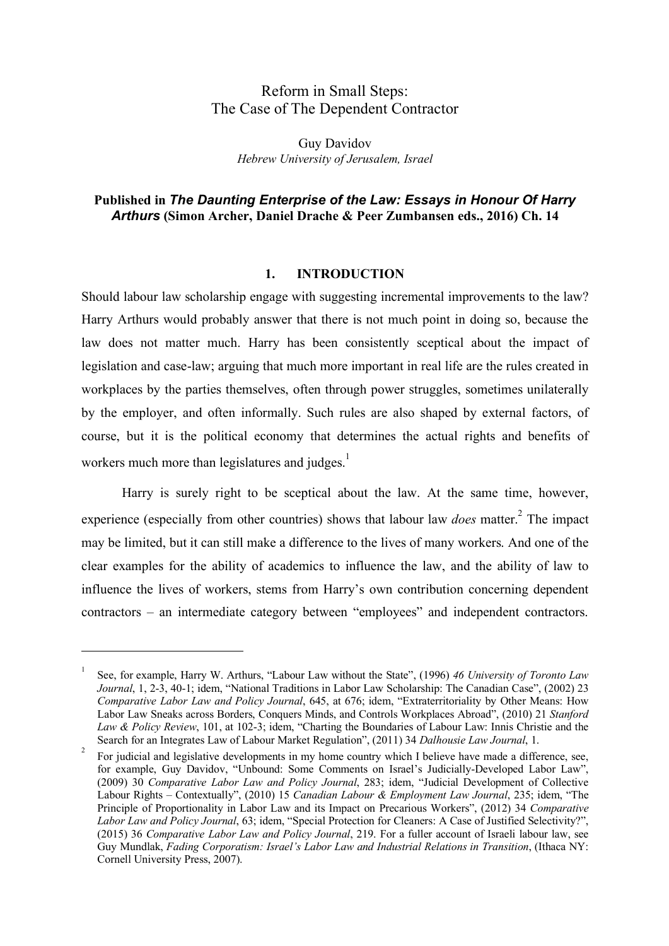# Reform in Small Steps: The Case of The Dependent Contractor

Guy Davidov *Hebrew University of Jerusalem, Israel*

## **Published in** *The Daunting Enterprise of the Law: Essays in Honour Of Harry Arthurs* **(Simon Archer, Daniel Drache & Peer Zumbansen eds., 2016) Ch. 14**

### **1. INTRODUCTION**

Should labour law scholarship engage with suggesting incremental improvements to the law? Harry Arthurs would probably answer that there is not much point in doing so, because the law does not matter much. Harry has been consistently sceptical about the impact of legislation and case-law; arguing that much more important in real life are the rules created in workplaces by the parties themselves, often through power struggles, sometimes unilaterally by the employer, and often informally. Such rules are also shaped by external factors, of course, but it is the political economy that determines the actual rights and benefits of workers much more than legislatures and judges $<sup>1</sup>$ </sup>

Harry is surely right to be sceptical about the law. At the same time, however, experience (especially from other countries) shows that labour law *does* matter.<sup>2</sup> The impact may be limited, but it can still make a difference to the lives of many workers. And one of the clear examples for the ability of academics to influence the law, and the ability of law to influence the lives of workers, stems from Harry's own contribution concerning dependent contractors – an intermediate category between "employees" and independent contractors.

<sup>1</sup> See, for example, Harry W. Arthurs, "Labour Law without the State", (1996) *46 University of Toronto Law Journal*, 1, 2-3, 40-1; idem, "National Traditions in Labor Law Scholarship: The Canadian Case", (2002) 23 *Comparative Labor Law and Policy Journal*, 645, at 676; idem, "Extraterritoriality by Other Means: How Labor Law Sneaks across Borders, Conquers Minds, and Controls Workplaces Abroad", (2010) 21 *Stanford Law & Policy Review*, 101, at 102-3; idem, "Charting the Boundaries of Labour Law: Innis Christie and the Search for an Integrates Law of Labour Market Regulation", (2011) 34 *Dalhousie Law Journal*, 1.

<sup>2</sup> For judicial and legislative developments in my home country which I believe have made a difference, see, for example, Guy Davidov, "Unbound: Some Comments on Israel's Judicially-Developed Labor Law", (2009) 30 *Comparative Labor Law and Policy Journal*, 283; idem, "Judicial Development of Collective Labour Rights – Contextually", (2010) 15 *Canadian Labour & Employment Law Journal*, 235; idem, "The Principle of Proportionality in Labor Law and its Impact on Precarious Workers", (2012) 34 *Comparative Labor Law and Policy Journal*, 63; idem, "Special Protection for Cleaners: A Case of Justified Selectivity?", (2015) 36 *Comparative Labor Law and Policy Journal*, 219. For a fuller account of Israeli labour law, see Guy Mundlak, *Fading Corporatism: Israel's Labor Law and Industrial Relations in Transition*, (Ithaca NY: Cornell University Press, 2007).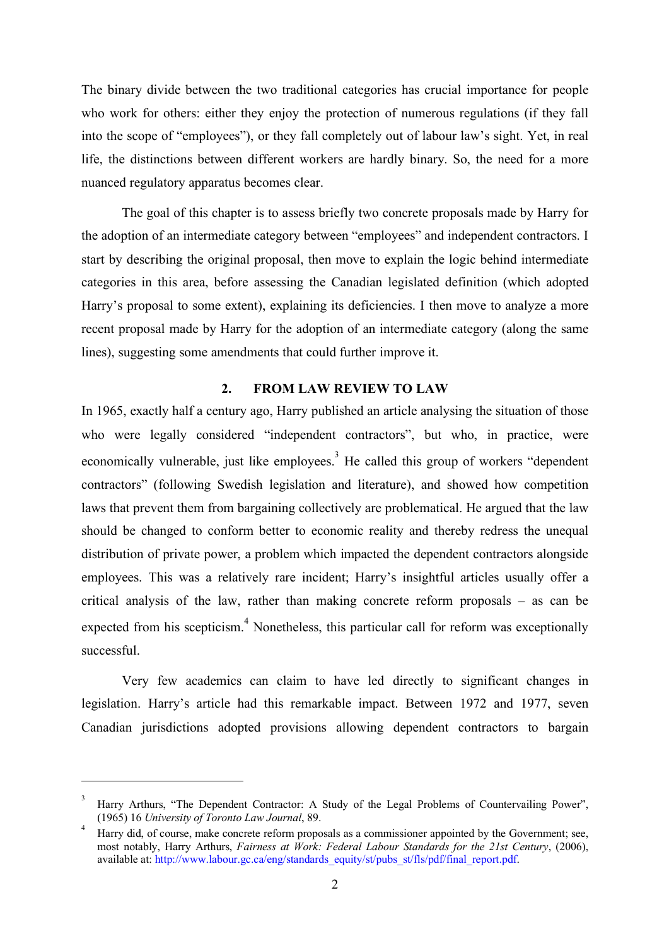The binary divide between the two traditional categories has crucial importance for people who work for others: either they enjoy the protection of numerous regulations (if they fall into the scope of "employees"), or they fall completely out of labour law's sight. Yet, in real life, the distinctions between different workers are hardly binary. So, the need for a more nuanced regulatory apparatus becomes clear.

The goal of this chapter is to assess briefly two concrete proposals made by Harry for the adoption of an intermediate category between "employees" and independent contractors. I start by describing the original proposal, then move to explain the logic behind intermediate categories in this area, before assessing the Canadian legislated definition (which adopted Harry's proposal to some extent), explaining its deficiencies. I then move to analyze a more recent proposal made by Harry for the adoption of an intermediate category (along the same lines), suggesting some amendments that could further improve it.

### **2. FROM LAW REVIEW TO LAW**

In 1965, exactly half a century ago, Harry published an article analysing the situation of those who were legally considered "independent contractors", but who, in practice, were economically vulnerable, just like employees.<sup>3</sup> He called this group of workers "dependent" contractors" (following Swedish legislation and literature), and showed how competition laws that prevent them from bargaining collectively are problematical. He argued that the law should be changed to conform better to economic reality and thereby redress the unequal distribution of private power, a problem which impacted the dependent contractors alongside employees. This was a relatively rare incident; Harry's insightful articles usually offer a critical analysis of the law, rather than making concrete reform proposals – as can be expected from his scepticism.<sup>4</sup> Nonetheless, this particular call for reform was exceptionally successful.

Very few academics can claim to have led directly to significant changes in legislation. Harry's article had this remarkable impact. Between 1972 and 1977, seven Canadian jurisdictions adopted provisions allowing dependent contractors to bargain

<sup>3</sup> Harry Arthurs, "The Dependent Contractor: A Study of the Legal Problems of Countervailing Power", (1965) 16 *University of Toronto Law Journal*, 89.

<sup>4</sup> Harry did, of course, make concrete reform proposals as a commissioner appointed by the Government; see, most notably, Harry Arthurs, *Fairness at Work: Federal Labour Standards for the 21st Century*, (2006), available at: http://www.labour.gc.ca/eng/standards\_equity/st/pubs\_st/fls/pdf/final\_report.pdf.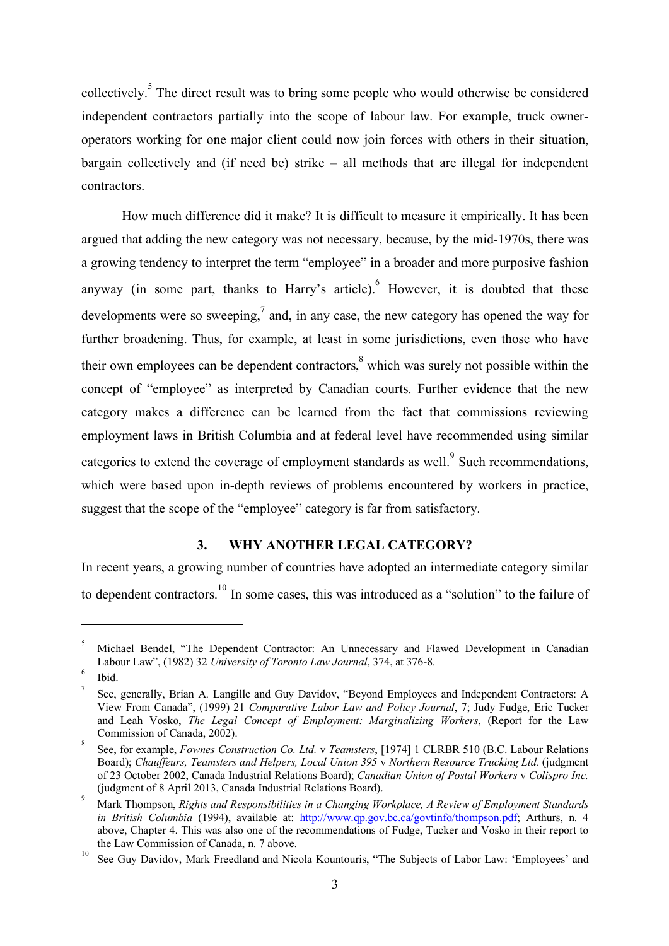collectively.<sup>5</sup> The direct result was to bring some people who would otherwise be considered independent contractors partially into the scope of labour law. For example, truck owneroperators working for one major client could now join forces with others in their situation, bargain collectively and (if need be) strike – all methods that are illegal for independent contractors.

How much difference did it make? It is difficult to measure it empirically. It has been argued that adding the new category was not necessary, because, by the mid-1970s, there was a growing tendency to interpret the term "employee" in a broader and more purposive fashion anyway (in some part, thanks to Harry's article). However, it is doubted that these developments were so sweeping, $\frac{7}{2}$  and, in any case, the new category has opened the way for further broadening. Thus, for example, at least in some jurisdictions, even those who have their own employees can be dependent contractors, $\delta$  which was surely not possible within the concept of "employee" as interpreted by Canadian courts. Further evidence that the new category makes a difference can be learned from the fact that commissions reviewing employment laws in British Columbia and at federal level have recommended using similar categories to extend the coverage of employment standards as well.<sup>9</sup> Such recommendations, which were based upon in-depth reviews of problems encountered by workers in practice, suggest that the scope of the "employee" category is far from satisfactory.

## **3. WHY ANOTHER LEGAL CATEGORY?**

In recent years, a growing number of countries have adopted an intermediate category similar to dependent contractors.<sup>10</sup> In some cases, this was introduced as a "solution" to the failure of

<sup>5</sup> Michael Bendel, "The Dependent Contractor: An Unnecessary and Flawed Development in Canadian Labour Law", (1982) 32 *University of Toronto Law Journal*, 374, at 376-8.

<sup>6</sup> Ibid.

<sup>7</sup> See, generally, Brian A. Langille and Guy Davidov, "Beyond Employees and Independent Contractors: A View From Canada", (1999) 21 *Comparative Labor Law and Policy Journal*, 7; Judy Fudge, Eric Tucker and Leah Vosko, *The Legal Concept of Employment: Marginalizing Workers*, (Report for the Law Commission of Canada, 2002).

<sup>8</sup> See, for example, *Fownes Construction Co. Ltd.* v *Teamsters*, [1974] 1 CLRBR 510 (B.C. Labour Relations Board); *Chauffeurs, Teamsters and Helpers, Local Union 395* v *Northern Resource Trucking Ltd.* (judgment of 23 October 2002, Canada Industrial Relations Board); *Canadian Union of Postal Workers* v *Colispro Inc.* (judgment of 8 April 2013, Canada Industrial Relations Board).<br>9 Mark Thompson, *Rights and Responsibilities in a Changing Workplace, A Review of Employment Standards* 

*in British Columbia* (1994), available at: http://www.qp.gov.bc.ca/govtinfo/thompson.pdf; Arthurs, n. 4 above, Chapter 4. This was also one of the recommendations of Fudge, Tucker and Vosko in their report to the Law Commission of Canada, n. 7 above.

<sup>&</sup>lt;sup>10</sup> See Guy Davidov, Mark Freedland and Nicola Kountouris, "The Subjects of Labor Law: 'Employees' and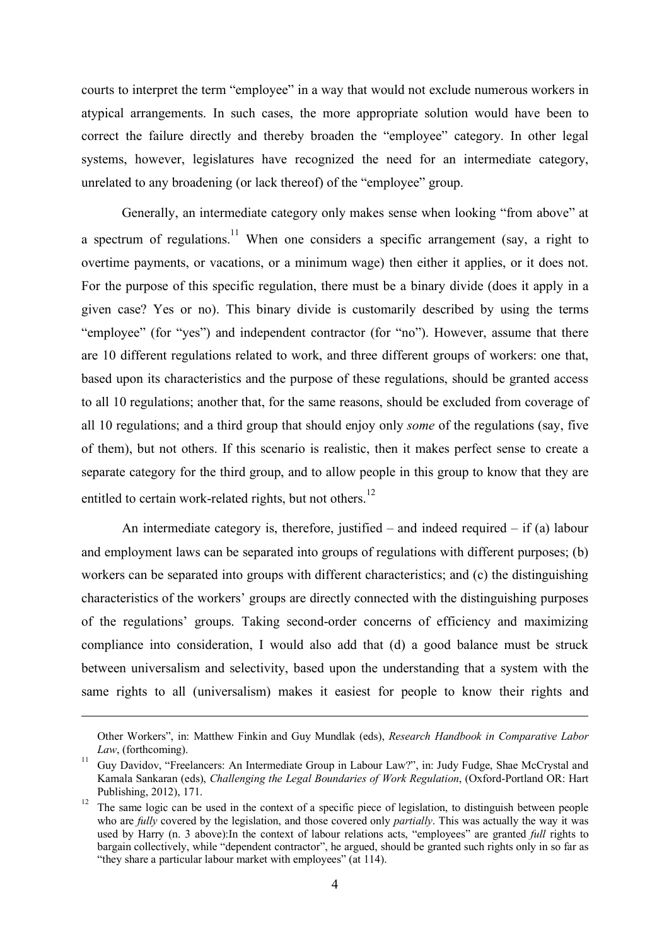courts to interpret the term "employee" in a way that would not exclude numerous workers in atypical arrangements. In such cases, the more appropriate solution would have been to correct the failure directly and thereby broaden the "employee" category. In other legal systems, however, legislatures have recognized the need for an intermediate category, unrelated to any broadening (or lack thereof) of the "employee" group.

Generally, an intermediate category only makes sense when looking "from above" at a spectrum of regulations.<sup>11</sup> When one considers a specific arrangement (say, a right to overtime payments, or vacations, or a minimum wage) then either it applies, or it does not. For the purpose of this specific regulation, there must be a binary divide (does it apply in a given case? Yes or no). This binary divide is customarily described by using the terms "employee" (for "yes") and independent contractor (for "no"). However, assume that there are 10 different regulations related to work, and three different groups of workers: one that, based upon its characteristics and the purpose of these regulations, should be granted access to all 10 regulations; another that, for the same reasons, should be excluded from coverage of all 10 regulations; and a third group that should enjoy only *some* of the regulations (say, five of them), but not others. If this scenario is realistic, then it makes perfect sense to create a separate category for the third group, and to allow people in this group to know that they are entitled to certain work-related rights, but not others.<sup>12</sup>

An intermediate category is, therefore, justified – and indeed required – if (a) labour and employment laws can be separated into groups of regulations with different purposes; (b) workers can be separated into groups with different characteristics; and (c) the distinguishing characteristics of the workers' groups are directly connected with the distinguishing purposes of the regulations' groups. Taking second-order concerns of efficiency and maximizing compliance into consideration, I would also add that (d) a good balance must be struck between universalism and selectivity, based upon the understanding that a system with the same rights to all (universalism) makes it easiest for people to know their rights and

Other Workers", in: Matthew Finkin and Guy Mundlak (eds), *Research Handbook in Comparative Labor Law*, (forthcoming).

<sup>&</sup>lt;sup>11</sup> Guy Davidov, "Freelancers: An Intermediate Group in Labour Law?", in: Judy Fudge, Shae McCrystal and Kamala Sankaran (eds), *Challenging the Legal Boundaries of Work Regulation*, (Oxford-Portland OR: Hart Publishing, 2012), 171.

<sup>&</sup>lt;sup>12</sup> The same logic can be used in the context of a specific piece of legislation, to distinguish between people who are *fully* covered by the legislation, and those covered only *partially*. This was actually the way it was used by Harry (n. 3 above):In the context of labour relations acts, "employees" are granted *full* rights to bargain collectively, while "dependent contractor", he argued, should be granted such rights only in so far as "they share a particular labour market with employees" (at 114).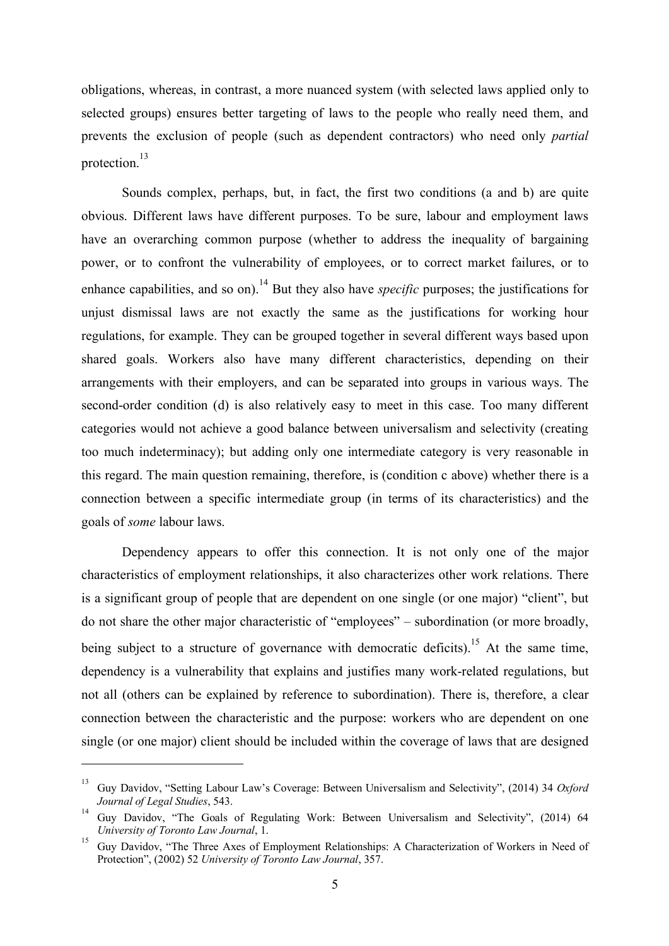obligations, whereas, in contrast, a more nuanced system (with selected laws applied only to selected groups) ensures better targeting of laws to the people who really need them, and prevents the exclusion of people (such as dependent contractors) who need only *partial* protection.<sup>13</sup>

Sounds complex, perhaps, but, in fact, the first two conditions (a and b) are quite obvious. Different laws have different purposes. To be sure, labour and employment laws have an overarching common purpose (whether to address the inequality of bargaining power, or to confront the vulnerability of employees, or to correct market failures, or to enhance capabilities, and so on).<sup>14</sup> But they also have *specific* purposes; the justifications for unjust dismissal laws are not exactly the same as the justifications for working hour regulations, for example. They can be grouped together in several different ways based upon shared goals. Workers also have many different characteristics, depending on their arrangements with their employers, and can be separated into groups in various ways. The second-order condition (d) is also relatively easy to meet in this case. Too many different categories would not achieve a good balance between universalism and selectivity (creating too much indeterminacy); but adding only one intermediate category is very reasonable in this regard. The main question remaining, therefore, is (condition c above) whether there is a connection between a specific intermediate group (in terms of its characteristics) and the goals of *some* labour laws.

Dependency appears to offer this connection. It is not only one of the major characteristics of employment relationships, it also characterizes other work relations. There is a significant group of people that are dependent on one single (or one major) "client", but do not share the other major characteristic of "employees" – subordination (or more broadly, being subject to a structure of governance with democratic deficits).<sup>15</sup> At the same time, dependency is a vulnerability that explains and justifies many work-related regulations, but not all (others can be explained by reference to subordination). There is, therefore, a clear connection between the characteristic and the purpose: workers who are dependent on one single (or one major) client should be included within the coverage of laws that are designed

<sup>13</sup> Guy Davidov, "Setting Labour Law's Coverage: Between Universalism and Selectivity", (2014) 34 *Oxford Journal of Legal Studies*, 543.

<sup>&</sup>lt;sup>14</sup> Guy Davidov, "The Goals of Regulating Work: Between Universalism and Selectivity", (2014) 64 *University of Toronto Law Journal*, 1.

<sup>&</sup>lt;sup>15</sup> Guy Davidov, "The Three Axes of Employment Relationships: A Characterization of Workers in Need of Protection", (2002) 52 *University of Toronto Law Journal*, 357.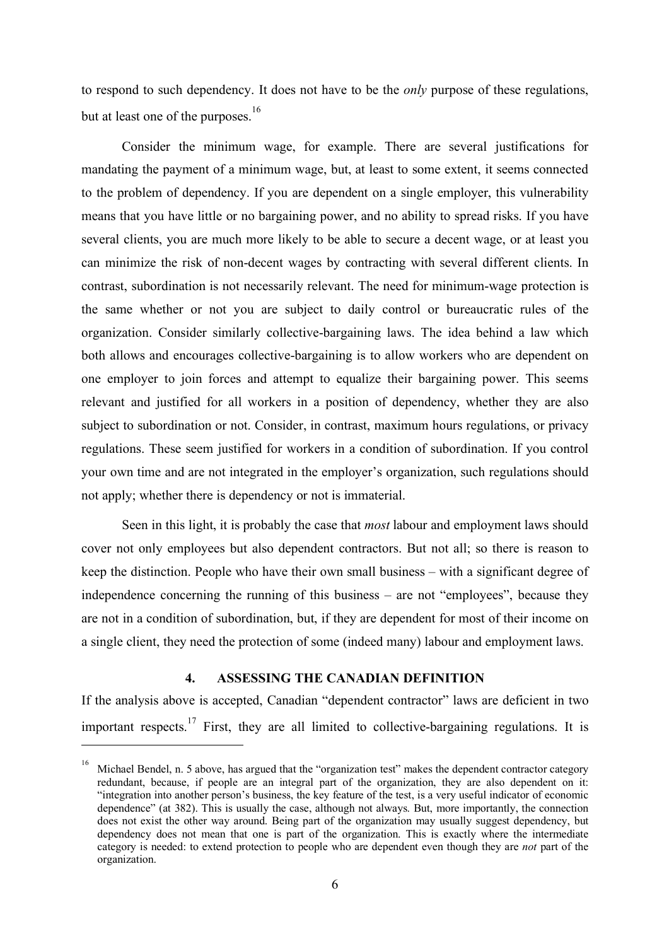to respond to such dependency. It does not have to be the *only* purpose of these regulations, but at least one of the purposes.<sup>16</sup>

Consider the minimum wage, for example. There are several justifications for mandating the payment of a minimum wage, but, at least to some extent, it seems connected to the problem of dependency. If you are dependent on a single employer, this vulnerability means that you have little or no bargaining power, and no ability to spread risks. If you have several clients, you are much more likely to be able to secure a decent wage, or at least you can minimize the risk of non-decent wages by contracting with several different clients. In contrast, subordination is not necessarily relevant. The need for minimum-wage protection is the same whether or not you are subject to daily control or bureaucratic rules of the organization. Consider similarly collective-bargaining laws. The idea behind a law which both allows and encourages collective-bargaining is to allow workers who are dependent on one employer to join forces and attempt to equalize their bargaining power. This seems relevant and justified for all workers in a position of dependency, whether they are also subject to subordination or not. Consider, in contrast, maximum hours regulations, or privacy regulations. These seem justified for workers in a condition of subordination. If you control your own time and are not integrated in the employer's organization, such regulations should not apply; whether there is dependency or not is immaterial.

Seen in this light, it is probably the case that *most* labour and employment laws should cover not only employees but also dependent contractors. But not all; so there is reason to keep the distinction. People who have their own small business – with a significant degree of independence concerning the running of this business – are not "employees", because they are not in a condition of subordination, but, if they are dependent for most of their income on a single client, they need the protection of some (indeed many) labour and employment laws.

## **4. ASSESSING THE CANADIAN DEFINITION**

If the analysis above is accepted, Canadian "dependent contractor" laws are deficient in two important respects.<sup>17</sup> First, they are all limited to collective-bargaining regulations. It is

<sup>&</sup>lt;sup>16</sup> Michael Bendel, n. 5 above, has argued that the "organization test" makes the dependent contractor category redundant, because, if people are an integral part of the organization, they are also dependent on it: "integration into another person's business, the key feature of the test, is a very useful indicator of economic dependence" (at 382). This is usually the case, although not always. But, more importantly, the connection does not exist the other way around. Being part of the organization may usually suggest dependency, but dependency does not mean that one is part of the organization. This is exactly where the intermediate category is needed: to extend protection to people who are dependent even though they are *not* part of the organization.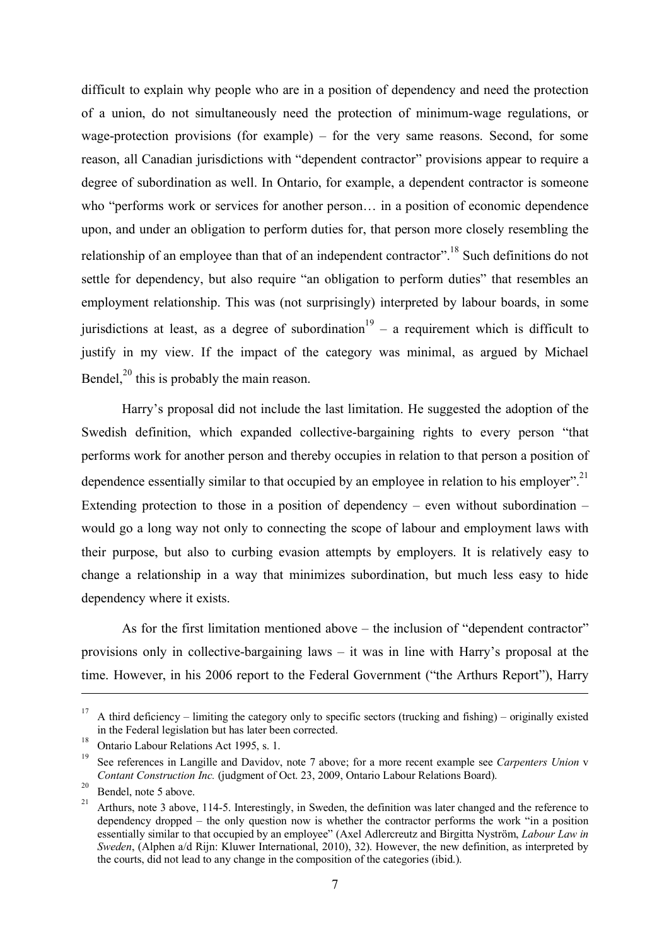difficult to explain why people who are in a position of dependency and need the protection of a union, do not simultaneously need the protection of minimum-wage regulations, or wage-protection provisions (for example) – for the very same reasons. Second, for some reason, all Canadian jurisdictions with "dependent contractor" provisions appear to require a degree of subordination as well. In Ontario, for example, a dependent contractor is someone who "performs work or services for another person… in a position of economic dependence upon, and under an obligation to perform duties for, that person more closely resembling the relationship of an employee than that of an independent contractor".<sup>18</sup> Such definitions do not settle for dependency, but also require "an obligation to perform duties" that resembles an employment relationship. This was (not surprisingly) interpreted by labour boards, in some jurisdictions at least, as a degree of subordination  $19 - a$  requirement which is difficult to justify in my view. If the impact of the category was minimal, as argued by Michael Bendel, $^{20}$  this is probably the main reason.

Harry's proposal did not include the last limitation. He suggested the adoption of the Swedish definition, which expanded collective-bargaining rights to every person "that performs work for another person and thereby occupies in relation to that person a position of dependence essentially similar to that occupied by an employee in relation to his employer".<sup>21</sup> Extending protection to those in a position of dependency – even without subordination – would go a long way not only to connecting the scope of labour and employment laws with their purpose, but also to curbing evasion attempts by employers. It is relatively easy to change a relationship in a way that minimizes subordination, but much less easy to hide dependency where it exists.

As for the first limitation mentioned above – the inclusion of "dependent contractor" provisions only in collective-bargaining laws – it was in line with Harry's proposal at the time. However, in his 2006 report to the Federal Government ("the Arthurs Report"), Harry

<sup>&</sup>lt;sup>17</sup> A third deficiency – limiting the category only to specific sectors (trucking and fishing) – originally existed in the Federal legislation but has later been corrected.

<sup>18</sup> Ontario Labour Relations Act 1995, s. 1.

<sup>19</sup> See references in Langille and Davidov, note 7 above; for a more recent example see *Carpenters Union* v *Contant Construction Inc.* (judgment of Oct. 23, 2009, Ontario Labour Relations Board).

 $^{20}$  Bendel, note 5 above.

<sup>21</sup> Arthurs, note 3 above, 114-5. Interestingly, in Sweden, the definition was later changed and the reference to dependency dropped – the only question now is whether the contractor performs the work "in a position essentially similar to that occupied by an employee" (Axel Adlercreutz and Birgitta Nyström, *Labour Law in Sweden*, (Alphen a/d Rijn: Kluwer International, 2010), 32). However, the new definition, as interpreted by the courts, did not lead to any change in the composition of the categories (ibid.).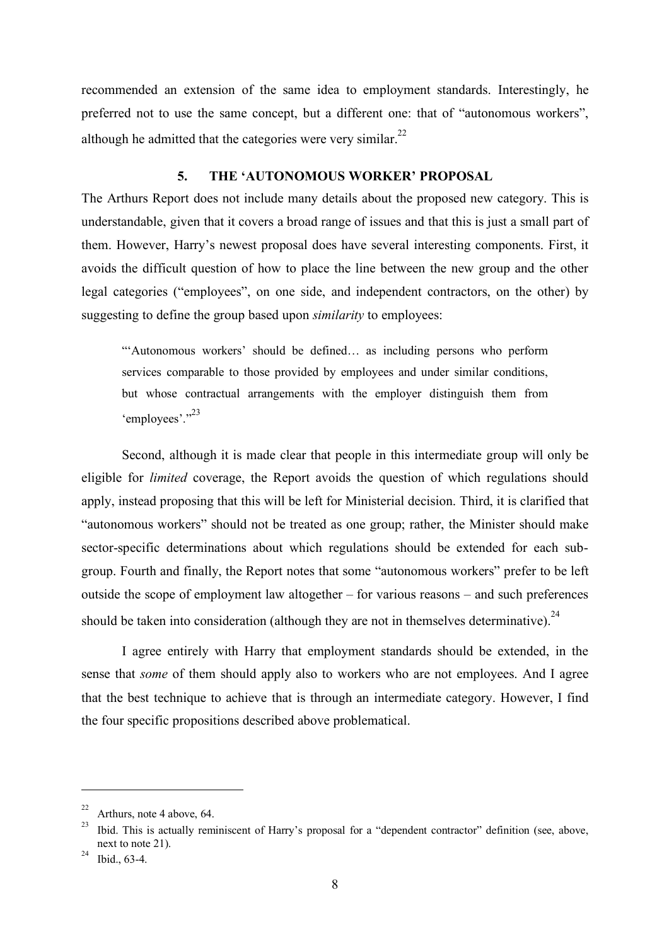recommended an extension of the same idea to employment standards. Interestingly, he preferred not to use the same concept, but a different one: that of "autonomous workers", although he admitted that the categories were very similar.<sup>22</sup>

### **5. THE 'AUTONOMOUS WORKER' PROPOSAL**

The Arthurs Report does not include many details about the proposed new category. This is understandable, given that it covers a broad range of issues and that this is just a small part of them. However, Harry's newest proposal does have several interesting components. First, it avoids the difficult question of how to place the line between the new group and the other legal categories ("employees", on one side, and independent contractors, on the other) by suggesting to define the group based upon *similarity* to employees:

"'Autonomous workers' should be defined… as including persons who perform services comparable to those provided by employees and under similar conditions, but whose contractual arrangements with the employer distinguish them from 'employees'."<sup>23</sup>

Second, although it is made clear that people in this intermediate group will only be eligible for *limited* coverage, the Report avoids the question of which regulations should apply, instead proposing that this will be left for Ministerial decision. Third, it is clarified that "autonomous workers" should not be treated as one group; rather, the Minister should make sector-specific determinations about which regulations should be extended for each subgroup. Fourth and finally, the Report notes that some "autonomous workers" prefer to be left outside the scope of employment law altogether – for various reasons – and such preferences should be taken into consideration (although they are not in themselves determinative).<sup>24</sup>

I agree entirely with Harry that employment standards should be extended, in the sense that *some* of them should apply also to workers who are not employees. And I agree that the best technique to achieve that is through an intermediate category. However, I find the four specific propositions described above problematical.

<sup>&</sup>lt;sup>22</sup> Arthurs, note 4 above, 64.

<sup>&</sup>lt;sup>23</sup> Ibid. This is actually reminiscent of Harry's proposal for a "dependent contractor" definition (see, above, next to note 21).

 $^{24}$  Ibid., 63-4.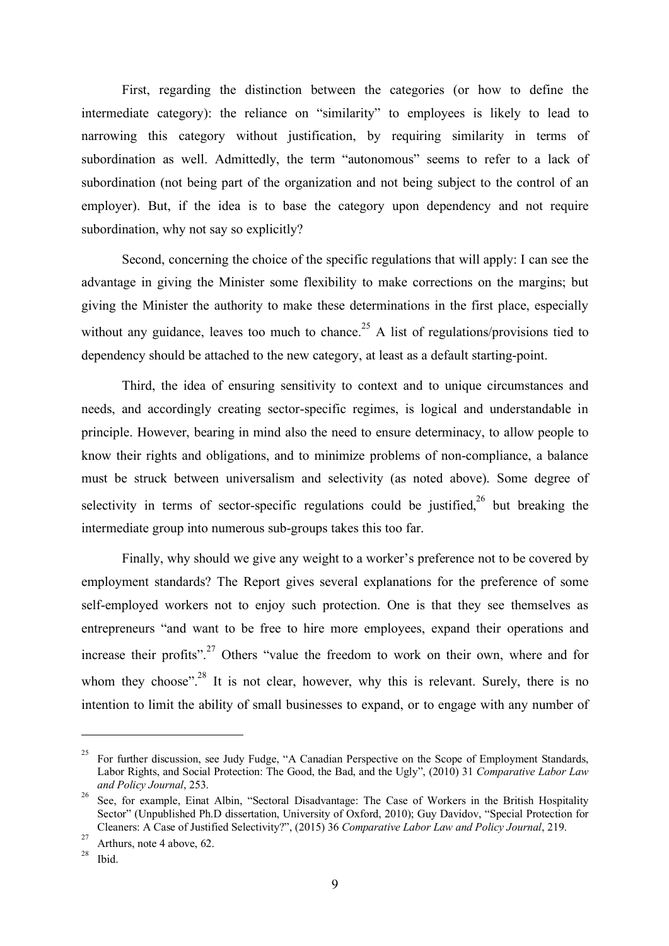First, regarding the distinction between the categories (or how to define the intermediate category): the reliance on "similarity" to employees is likely to lead to narrowing this category without justification, by requiring similarity in terms of subordination as well. Admittedly, the term "autonomous" seems to refer to a lack of subordination (not being part of the organization and not being subject to the control of an employer). But, if the idea is to base the category upon dependency and not require subordination, why not say so explicitly?

Second, concerning the choice of the specific regulations that will apply: I can see the advantage in giving the Minister some flexibility to make corrections on the margins; but giving the Minister the authority to make these determinations in the first place, especially without any guidance, leaves too much to chance.<sup>25</sup> A list of regulations/provisions tied to dependency should be attached to the new category, at least as a default starting-point.

Third, the idea of ensuring sensitivity to context and to unique circumstances and needs, and accordingly creating sector-specific regimes, is logical and understandable in principle. However, bearing in mind also the need to ensure determinacy, to allow people to know their rights and obligations, and to minimize problems of non-compliance, a balance must be struck between universalism and selectivity (as noted above). Some degree of selectivity in terms of sector-specific regulations could be justified,  $2^6$  but breaking the intermediate group into numerous sub-groups takes this too far.

Finally, why should we give any weight to a worker's preference not to be covered by employment standards? The Report gives several explanations for the preference of some self-employed workers not to enjoy such protection. One is that they see themselves as entrepreneurs "and want to be free to hire more employees, expand their operations and increase their profits".<sup>27</sup> Others "value the freedom to work on their own, where and for whom they choose".<sup>28</sup> It is not clear, however, why this is relevant. Surely, there is no intention to limit the ability of small businesses to expand, or to engage with any number of

<sup>&</sup>lt;sup>25</sup> For further discussion, see Judy Fudge, "A Canadian Perspective on the Scope of Employment Standards, Labor Rights, and Social Protection: The Good, the Bad, and the Ugly", (2010) 31 *Comparative Labor Law and Policy Journal*, 253.

<sup>&</sup>lt;sup>26</sup> See, for example, Einat Albin, "Sectoral Disadvantage: The Case of Workers in the British Hospitality Sector" (Unpublished Ph.D dissertation, University of Oxford, 2010); Guy Davidov, "Special Protection for Cleaners: A Case of Justified Selectivity?", (2015) 36 *Comparative Labor Law and Policy Journal*, 219.

<sup>&</sup>lt;sup>27</sup> Arthurs, note 4 above, 62.

Ibid.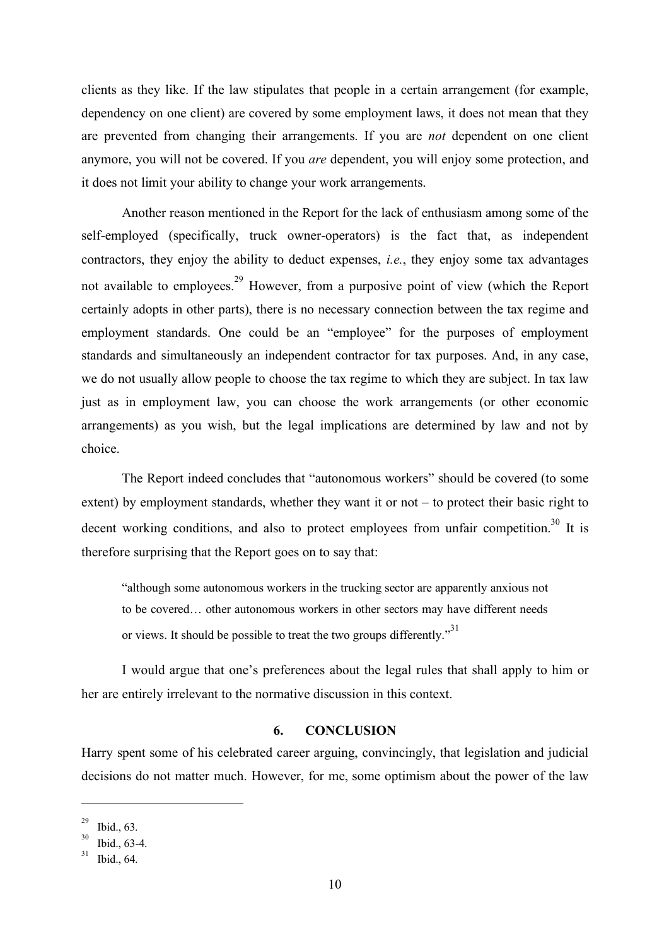clients as they like. If the law stipulates that people in a certain arrangement (for example, dependency on one client) are covered by some employment laws, it does not mean that they are prevented from changing their arrangements. If you are *not* dependent on one client anymore, you will not be covered. If you *are* dependent, you will enjoy some protection, and it does not limit your ability to change your work arrangements.

Another reason mentioned in the Report for the lack of enthusiasm among some of the self-employed (specifically, truck owner-operators) is the fact that, as independent contractors, they enjoy the ability to deduct expenses, *i.e.*, they enjoy some tax advantages not available to employees.<sup>29</sup> However, from a purposive point of view (which the Report certainly adopts in other parts), there is no necessary connection between the tax regime and employment standards. One could be an "employee" for the purposes of employment standards and simultaneously an independent contractor for tax purposes. And, in any case, we do not usually allow people to choose the tax regime to which they are subject. In tax law just as in employment law, you can choose the work arrangements (or other economic arrangements) as you wish, but the legal implications are determined by law and not by choice.

The Report indeed concludes that "autonomous workers" should be covered (to some extent) by employment standards, whether they want it or not – to protect their basic right to decent working conditions, and also to protect employees from unfair competition.<sup>30</sup> It is therefore surprising that the Report goes on to say that:

"although some autonomous workers in the trucking sector are apparently anxious not to be covered… other autonomous workers in other sectors may have different needs or views. It should be possible to treat the two groups differently."<sup>31</sup>

I would argue that one's preferences about the legal rules that shall apply to him or her are entirely irrelevant to the normative discussion in this context.

#### **6. CONCLUSION**

Harry spent some of his celebrated career arguing, convincingly, that legislation and judicial decisions do not matter much. However, for me, some optimism about the power of the law

 $^{29}$  Ibid., 63.

 $\frac{30}{31}$  Ibid., 63-4.

Ibid., 64.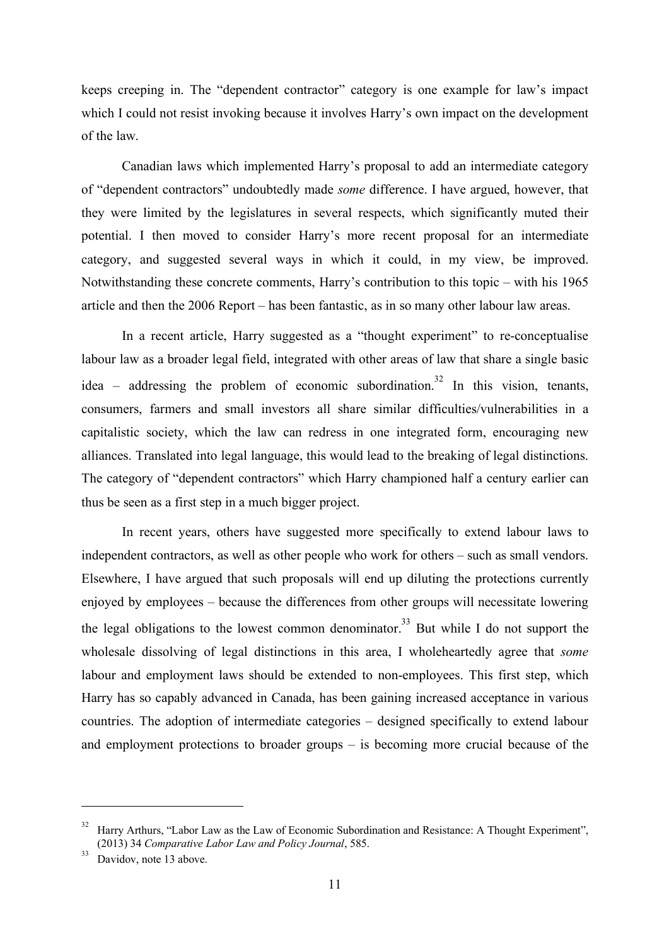keeps creeping in. The "dependent contractor" category is one example for law's impact which I could not resist invoking because it involves Harry's own impact on the development of the law.

Canadian laws which implemented Harry's proposal to add an intermediate category of "dependent contractors" undoubtedly made *some* difference. I have argued, however, that they were limited by the legislatures in several respects, which significantly muted their potential. I then moved to consider Harry's more recent proposal for an intermediate category, and suggested several ways in which it could, in my view, be improved. Notwithstanding these concrete comments, Harry's contribution to this topic – with his 1965 article and then the 2006 Report – has been fantastic, as in so many other labour law areas.

In a recent article, Harry suggested as a "thought experiment" to re-conceptualise labour law as a broader legal field, integrated with other areas of law that share a single basic idea – addressing the problem of economic subordination.<sup>32</sup> In this vision, tenants, consumers, farmers and small investors all share similar difficulties/vulnerabilities in a capitalistic society, which the law can redress in one integrated form, encouraging new alliances. Translated into legal language, this would lead to the breaking of legal distinctions. The category of "dependent contractors" which Harry championed half a century earlier can thus be seen as a first step in a much bigger project.

In recent years, others have suggested more specifically to extend labour laws to independent contractors, as well as other people who work for others – such as small vendors. Elsewhere, I have argued that such proposals will end up diluting the protections currently enjoyed by employees – because the differences from other groups will necessitate lowering the legal obligations to the lowest common denominator.<sup>33</sup> But while I do not support the wholesale dissolving of legal distinctions in this area, I wholeheartedly agree that *some*  labour and employment laws should be extended to non-employees. This first step, which Harry has so capably advanced in Canada, has been gaining increased acceptance in various countries. The adoption of intermediate categories – designed specifically to extend labour and employment protections to broader groups – is becoming more crucial because of the

<sup>&</sup>lt;sup>32</sup> Harry Arthurs, "Labor Law as the Law of Economic Subordination and Resistance: A Thought Experiment", (2013) 34 *Comparative Labor Law and Policy Journal*, 585.

 $33$  Davidov, note 13 above.